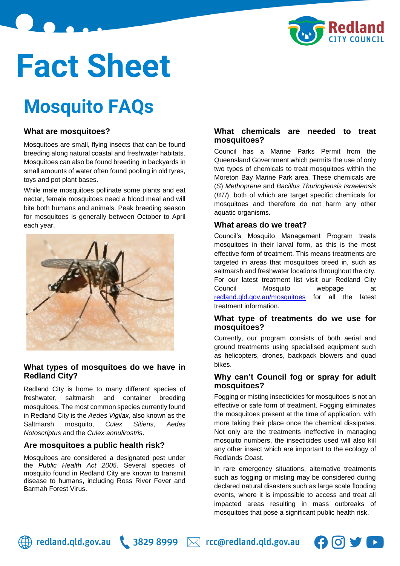

# **Fact Sheet**

# **Mosquito FAQs**

# **What are mosquitoes?**

Mosquitoes are small, flying insects that can be found breeding along natural coastal and freshwater habitats. Mosquitoes can also be found breeding in backyards in small amounts of water often found pooling in old tyres, toys and pot plant bases.

While male mosquitoes pollinate some plants and eat nectar, female mosquitoes need a blood meal and will bite both humans and animals. Peak breeding season for mosquitoes is generally between October to April each year.



# **What types of mosquitoes do we have in Redland City?**

Redland City is home to many different species of freshwater, saltmarsh and container breeding mosquitoes. The most common species currently found in Redland City is the *Aedes Vigilax*, also known as the Saltmarsh mosquito, *Culex Sitiens*, *Aedes Notoscriptus* and the *Culex annulirostris*.

# **Are mosquitoes a public health risk?**

Mosquitoes are considered a designated pest under the *Public Health Act 2005*. Several species of mosquito found in Redland City are known to transmit disease to humans, including Ross River Fever and Barmah Forest Virus.

# **What chemicals are needed to treat mosquitoes?**

Council has a Marine Parks Permit from the Queensland Government which permits the use of only two types of chemicals to treat mosquitoes within the Moreton Bay Marine Park area. These chemicals are (*S*) *Methoprene* and *Bacillus Thuringiensis Israelensis* (*BTI*), both of which are target specific chemicals for mosquitoes and therefore do not harm any other aquatic organisms.

#### **What areas do we treat?**

Council's Mosquito Management Program treats mosquitoes in their larval form, as this is the most effective form of treatment. This means treatments are targeted in areas that mosquitoes breed in, such as saltmarsh and freshwater locations throughout the city. For our latest treatment list visit our Redland City Council Mosquito webpage at [redland.qld.gov.au/mosquitoes](https://www.redland.qld.gov.au/mosquitoes) for all the latest treatment information.

#### **What type of treatments do we use for mosquitoes?**

Currently, our program consists of both aerial and ground treatments using specialised equipment such as helicopters, drones, backpack blowers and quad bikes.

#### **Why can't Council fog or spray for adult mosquitoes?**

Fogging or misting insecticides for mosquitoes is not an effective or safe form of treatment. Fogging eliminates the mosquitoes present at the time of application, with more taking their place once the chemical dissipates. Not only are the treatments ineffective in managing mosquito numbers, the insecticides used will also kill any other insect which are important to the ecology of Redlands Coast.

In rare emergency situations, alternative treatments such as fogging or misting may be considered during declared natural disasters such as large scale flooding events, where it is impossible to access and treat all impacted areas resulting in mass outbreaks of mosquitoes that pose a significant public health risk.